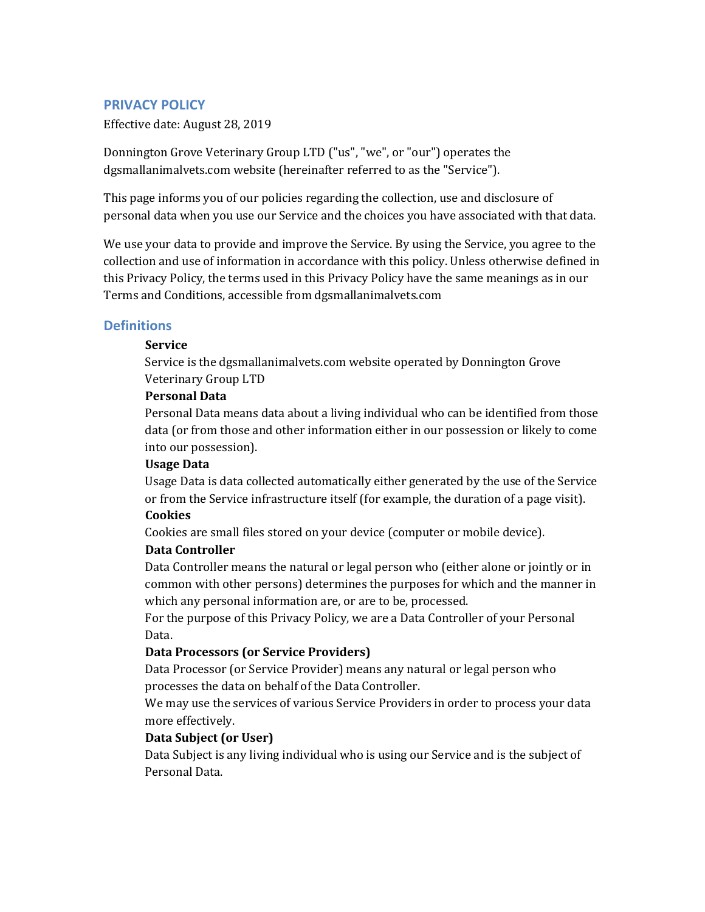## **PRIVACY POLICY**

Effective date: August 28, 2019

Donnington Grove Veterinary Group LTD ("us", "we", or "our") operates the dgsmallanimalvets.com website (hereinafter referred to as the "Service").

This page informs you of our policies regarding the collection, use and disclosure of personal data when you use our Service and the choices you have associated with that data.

We use your data to provide and improve the Service. By using the Service, you agree to the collection and use of information in accordance with this policy. Unless otherwise defined in this Privacy Policy, the terms used in this Privacy Policy have the same meanings as in our Terms and Conditions, accessible from dgsmallanimalvets.com

## **Definitions**

## **Service**

Service is the dgsmallanimalvets.com website operated by Donnington Grove Veterinary Group LTD

## **Personal Data**

Personal Data means data about a living individual who can be identified from those data (or from those and other information either in our possession or likely to come into our possession).

## **Usage Data**

Usage Data is data collected automatically either generated by the use of the Service or from the Service infrastructure itself (for example, the duration of a page visit).

## **Cookies**

Cookies are small files stored on your device (computer or mobile device).

## **Data Controller**

Data Controller means the natural or legal person who (either alone or jointly or in common with other persons) determines the purposes for which and the manner in which any personal information are, or are to be, processed.

For the purpose of this Privacy Policy, we are a Data Controller of your Personal Data.

## **Data Processors (or Service Providers)**

Data Processor (or Service Provider) means any natural or legal person who processes the data on behalf of the Data Controller.

We may use the services of various Service Providers in order to process your data more effectively.

## **Data Subject (or User)**

Data Subject is any living individual who is using our Service and is the subject of Personal Data.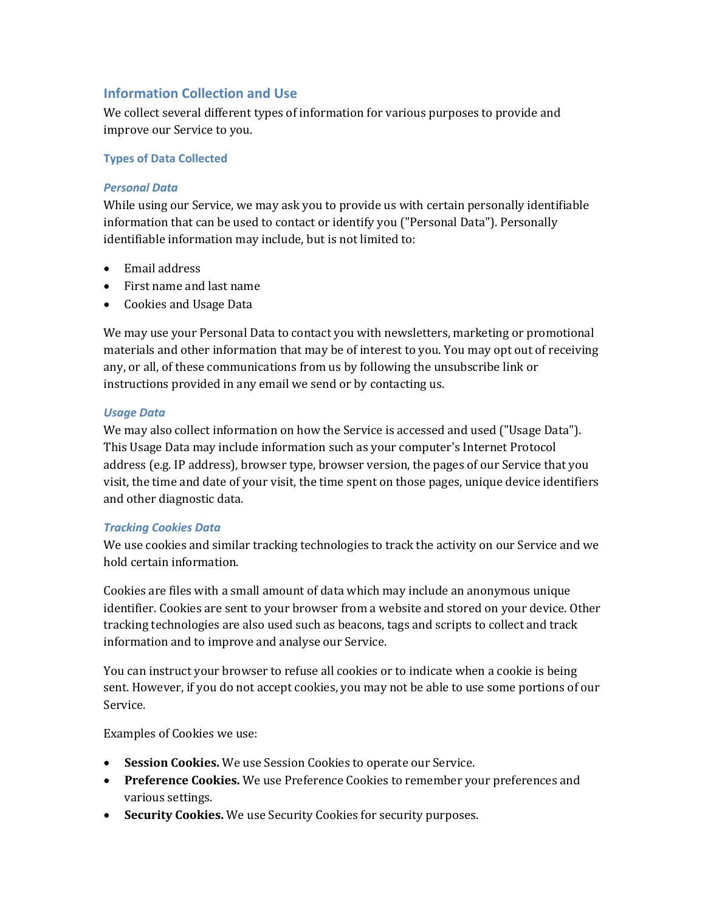# **Information Collection and Use**

We collect several different types of information for various purposes to provide and improve our Service to you.

## **Types of Data Collected**

## *Personal Data*

While using our Service, we may ask you to provide us with certain personally identifiable information that can be used to contact or identify you ("Personal Data"). Personally identifiable information may include, but is not limited to:

- Email address
- First name and last name
- Cookies and Usage Data

We may use your Personal Data to contact you with newsletters, marketing or promotional materials and other information that may be of interest to you. You may opt out of receiving any, or all, of these communications from us by following the unsubscribe link or instructions provided in any email we send or by contacting us.

## *Usage Data*

We may also collect information on how the Service is accessed and used ("Usage Data"). This Usage Data may include information such as your computer's Internet Protocol address (e.g. IP address), browser type, browser version, the pages of our Service that you visit, the time and date of your visit, the time spent on those pages, unique device identifiers and other diagnostic data.

## *Tracking Cookies Data*

We use cookies and similar tracking technologies to track the activity on our Service and we hold certain information.

Cookies are files with a small amount of data which may include an anonymous unique identifier. Cookies are sent to your browser from a website and stored on your device. Other tracking technologies are also used such as beacons, tags and scripts to collect and track information and to improve and analyse our Service.

You can instruct your browser to refuse all cookies or to indicate when a cookie is being sent. However, if you do not accept cookies, you may not be able to use some portions of our Service.

Examples of Cookies we use:

- Session Cookies. We use Session Cookies to operate our Service.
- **Preference Cookies.** We use Preference Cookies to remember your preferences and various settings.
- Security Cookies. We use Security Cookies for security purposes.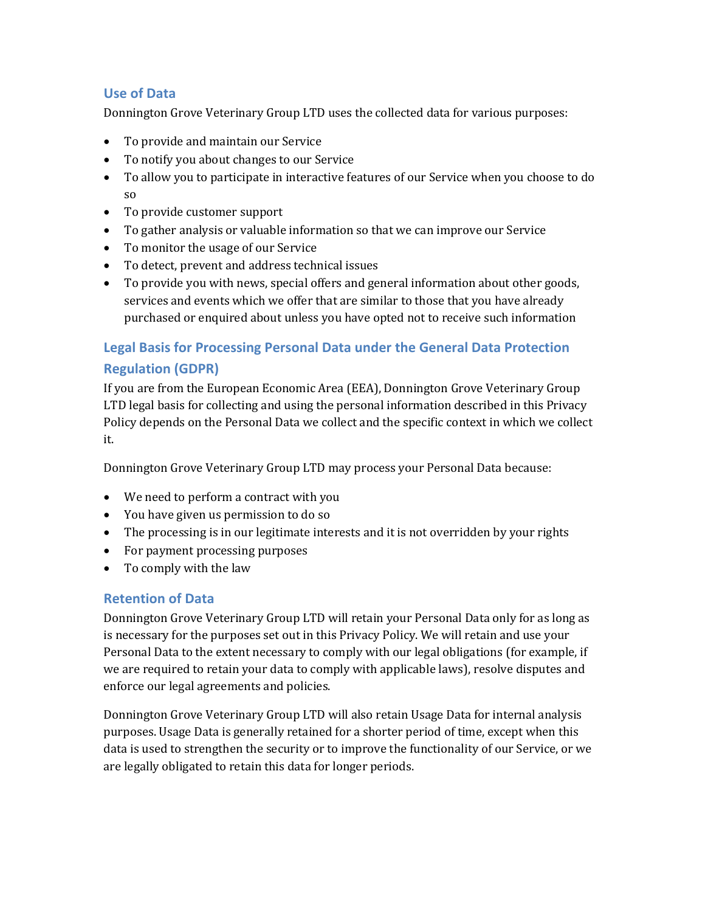# **Use of Data**

Donnington Grove Veterinary Group LTD uses the collected data for various purposes:

- To provide and maintain our Service
- To notify you about changes to our Service
- To allow you to participate in interactive features of our Service when you choose to do so
- To provide customer support
- To gather analysis or valuable information so that we can improve our Service
- To monitor the usage of our Service
- To detect, prevent and address technical issues
- To provide you with news, special offers and general information about other goods, services and events which we offer that are similar to those that you have already purchased or enquired about unless you have opted not to receive such information

# **Legal Basis for Processing Personal Data under the General Data Protection Regulation (GDPR)**

If you are from the European Economic Area (EEA), Donnington Grove Veterinary Group LTD legal basis for collecting and using the personal information described in this Privacy Policy depends on the Personal Data we collect and the specific context in which we collect it.

Donnington Grove Veterinary Group LTD may process your Personal Data because:

- We need to perform a contract with you
- You have given us permission to do so
- The processing is in our legitimate interests and it is not overridden by your rights
- For payment processing purposes
- $\bullet$  To comply with the law

# **Retention of Data**

Donnington Grove Veterinary Group LTD will retain your Personal Data only for as long as is necessary for the purposes set out in this Privacy Policy. We will retain and use your Personal Data to the extent necessary to comply with our legal obligations (for example, if we are required to retain your data to comply with applicable laws), resolve disputes and enforce our legal agreements and policies.

Donnington Grove Veterinary Group LTD will also retain Usage Data for internal analysis purposes. Usage Data is generally retained for a shorter period of time, except when this data is used to strengthen the security or to improve the functionality of our Service, or we are legally obligated to retain this data for longer periods.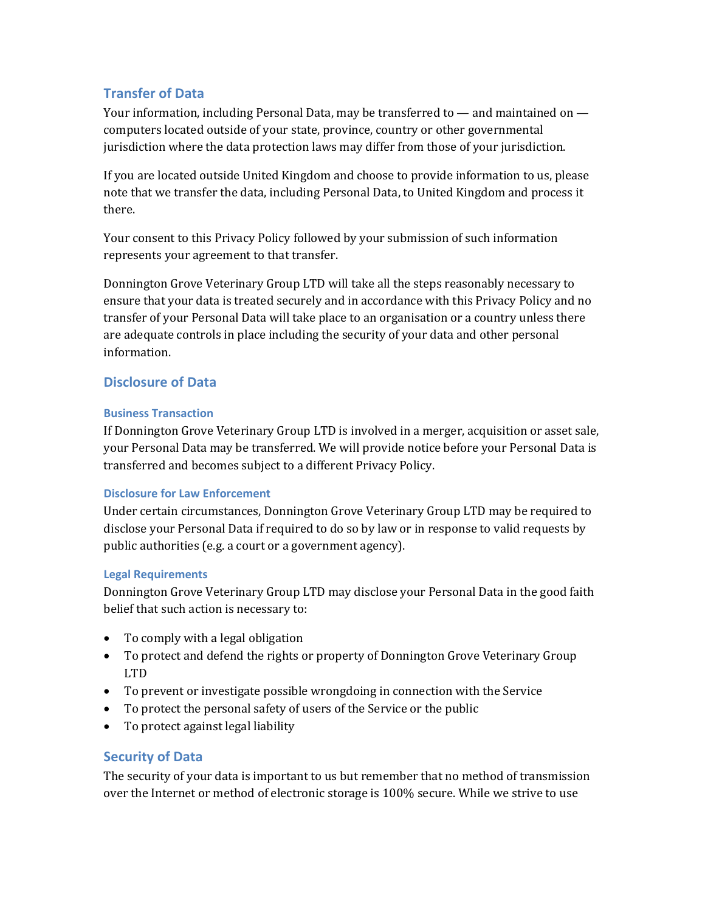# **Transfer of Data**

Your information, including Personal Data, may be transferred to  $-$  and maintained on  $$ computers located outside of your state, province, country or other governmental jurisdiction where the data protection laws may differ from those of your jurisdiction.

If you are located outside United Kingdom and choose to provide information to us, please note that we transfer the data, including Personal Data, to United Kingdom and process it there.

Your consent to this Privacy Policy followed by your submission of such information represents your agreement to that transfer.

Donnington Grove Veterinary Group LTD will take all the steps reasonably necessary to ensure that your data is treated securely and in accordance with this Privacy Policy and no transfer of your Personal Data will take place to an organisation or a country unless there are adequate controls in place including the security of your data and other personal information.

# **Disclosure of Data**

## **Business Transaction**

If Donnington Grove Veterinary Group LTD is involved in a merger, acquisition or asset sale, your Personal Data may be transferred. We will provide notice before your Personal Data is transferred and becomes subject to a different Privacy Policy.

## **Disclosure for Law Enforcement**

Under certain circumstances, Donnington Grove Veterinary Group LTD may be required to disclose your Personal Data if required to do so by law or in response to valid requests by public authorities (e.g. a court or a government agency).

## **Legal Requirements**

Donnington Grove Veterinary Group LTD may disclose your Personal Data in the good faith belief that such action is necessary to:

- To comply with a legal obligation
- To protect and defend the rights or property of Donnington Grove Veterinary Group LTD
- To prevent or investigate possible wrongdoing in connection with the Service
- To protect the personal safety of users of the Service or the public
- To protect against legal liability

# **Security of Data**

The security of your data is important to us but remember that no method of transmission over the Internet or method of electronic storage is 100% secure. While we strive to use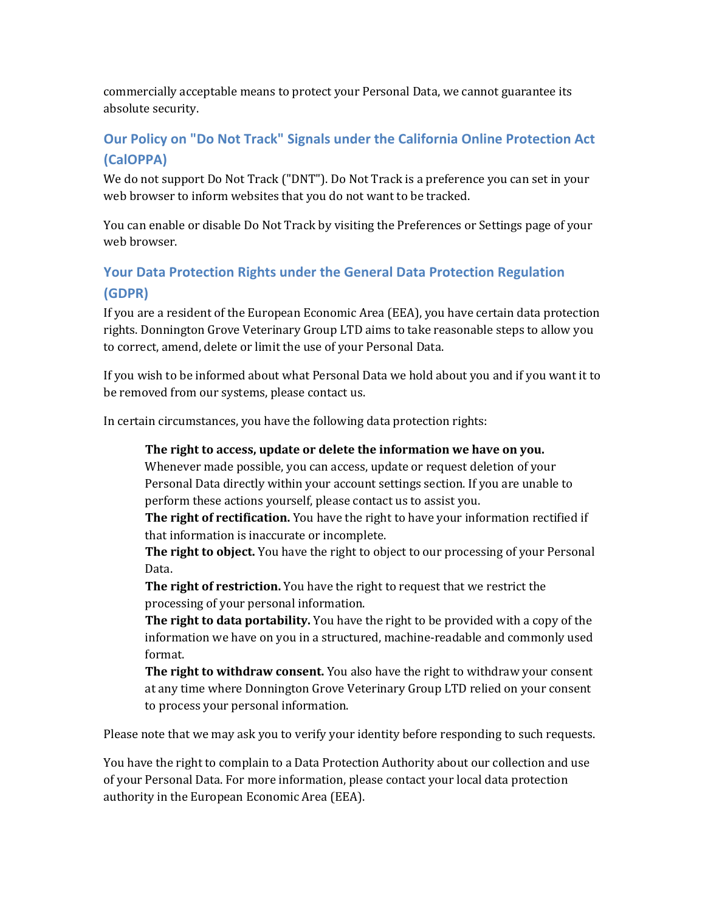commercially acceptable means to protect your Personal Data, we cannot guarantee its absolute security.

# **Our Policy on "Do Not Track" Signals under the California Online Protection Act (CalOPPA)**

We do not support Do Not Track ("DNT"). Do Not Track is a preference you can set in your web browser to inform websites that you do not want to be tracked.

You can enable or disable Do Not Track by visiting the Preferences or Settings page of your web browser.

# **Your Data Protection Rights under the General Data Protection Regulation (GDPR)**

If you are a resident of the European Economic Area (EEA), you have certain data protection rights. Donnington Grove Veterinary Group LTD aims to take reasonable steps to allow you to correct, amend, delete or limit the use of your Personal Data.

If you wish to be informed about what Personal Data we hold about you and if you want it to be removed from our systems, please contact us.

In certain circumstances, you have the following data protection rights:

# The right to access, update or delete the information we have on you.

Whenever made possible, you can access, update or request deletion of your Personal Data directly within your account settings section. If you are unable to perform these actions yourself, please contact us to assist you.

**The right of rectification.** You have the right to have your information rectified if that information is inaccurate or incomplete.

**The right to object.** You have the right to object to our processing of your Personal Data.

**The right of restriction.** You have the right to request that we restrict the processing of your personal information.

**The right to data portability.** You have the right to be provided with a copy of the information we have on you in a structured, machine-readable and commonly used format.

**The right to withdraw consent.** You also have the right to withdraw your consent at any time where Donnington Grove Veterinary Group LTD relied on your consent to process your personal information.

Please note that we may ask you to verify your identity before responding to such requests.

You have the right to complain to a Data Protection Authority about our collection and use of your Personal Data. For more information, please contact your local data protection authority in the European Economic Area (EEA).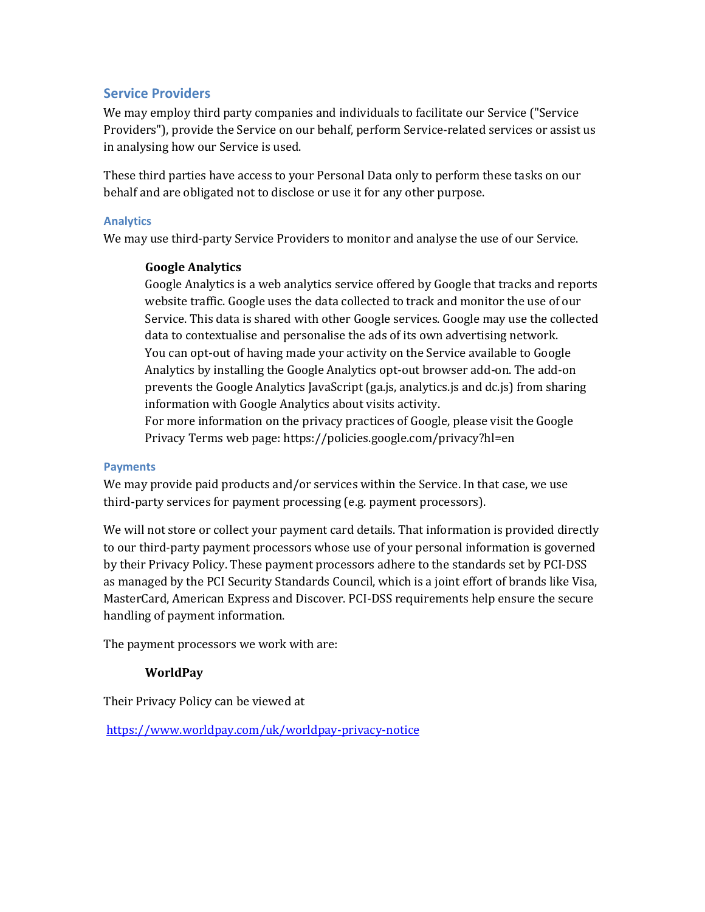# **Service Providers**

We may employ third party companies and individuals to facilitate our Service ("Service" Providers"), provide the Service on our behalf, perform Service-related services or assist us in analysing how our Service is used.

These third parties have access to your Personal Data only to perform these tasks on our behalf and are obligated not to disclose or use it for any other purpose.

## **Analytics**

We may use third-party Service Providers to monitor and analyse the use of our Service.

## **Google Analytics**

Google Analytics is a web analytics service offered by Google that tracks and reports website traffic. Google uses the data collected to track and monitor the use of our Service. This data is shared with other Google services. Google may use the collected data to contextualise and personalise the ads of its own advertising network. You can opt-out of having made your activity on the Service available to Google Analytics by installing the Google Analytics opt-out browser add-on. The add-on prevents the Google Analytics JavaScript  $(ga.js, analytics.js$  and  $dc.js$  from sharing information with Google Analytics about visits activity.

For more information on the privacy practices of Google, please visit the Google Privacy Terms web page: https://policies.google.com/privacy?hl=en

## **Payments**

We may provide paid products and/or services within the Service. In that case, we use third-party services for payment processing (e.g. payment processors).

We will not store or collect your payment card details. That information is provided directly to our third-party payment processors whose use of your personal information is governed by their Privacy Policy. These payment processors adhere to the standards set by PCI-DSS as managed by the PCI Security Standards Council, which is a joint effort of brands like Visa, MasterCard, American Express and Discover. PCI-DSS requirements help ensure the secure handling of payment information.

The payment processors we work with are:

## **WorldPay**

Their Privacy Policy can be viewed at

https://www.worldpay.com/uk/worldpay-privacy-notice